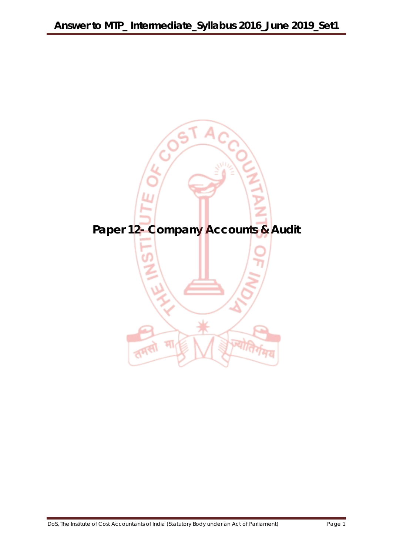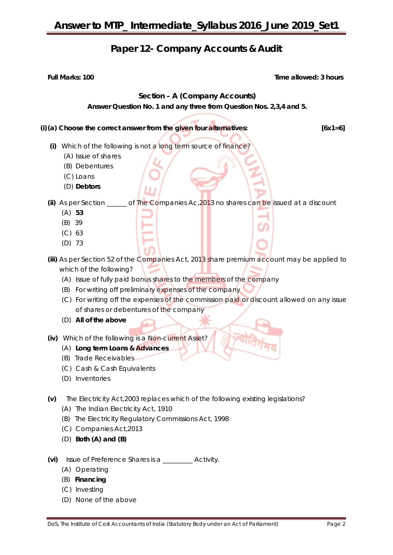### **Paper 12- Company Accounts & Audit**

**Full Marks: 100** Time allowed: 3 hours

### **Section – A (Company Accounts)**

**Answer Question No. 1 and any three from Question Nos. 2,3,4 and 5.**

### **(i)(a) Choose the correct answer from the given four alternatives: [6x1=6]**

- **(i)** Which of the following is not a long term source of finance?
	- (A) Issue of shares
	- (B) Debentures
	- (C) Loans
	- (D) **Debtors**

**(ii)** As per Section \_\_\_\_\_\_ of The Companies Ac,2013 no shares can be issued at a discount

- (A) **53**
- (B) 39
- (C) 63
- (D) 73
- **(iii)** As per Section 52 of the Companies Act, 2013 share premium account may be applied to which of the following?
	- (A) Issue of fully paid bonus shares to the members of the company
	- (B) For writing off preliminary expenses of the company
	- (C) For writing off the expenses of the commission paid or discount allowed on any issue of shares or debentures of the company
	- (D) **All of the above**
- **(iv)** Which of the following is a Non-current Asset?
	- (A) **Long term Loans & Advances**
	- (B) Trade Receivables
	- (C) Cash & Cash Equivalents
	- (D) Inventories
- **(v)** The Electricity Act,2003 replaces which of the following existing legislations?
	- (A) The Indian Electricity Act, 1910
	- (B) The Electricity Regulatory Commissions Act, 1998
	- (C) Companies Act,2013
	- (D) **Both (A) and (B)**
- **(vi)** Issue of Preference Shares is a \_\_\_\_\_\_\_\_\_ Activity.
	- (A) Operating
	- (B) **Financing**
	- (C) Investing
	- (D) None of the above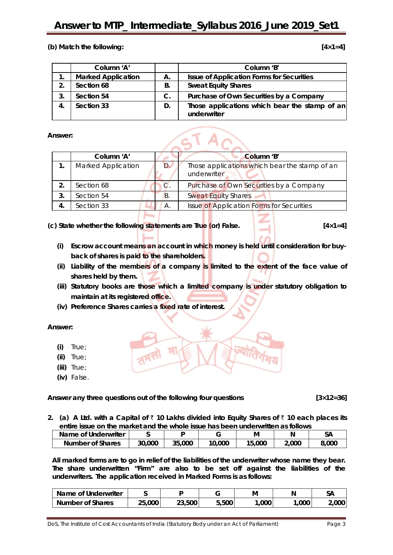### **Answer to MTP\_ Intermediate\_Syllabus 2016\_June 2019\_Set1**

### **(b) Match the following: [4×1=4]**

|            | Column 'A'                |    | Column 'B'                                                   |
|------------|---------------------------|----|--------------------------------------------------------------|
|            | <b>Marked Application</b> | А. | <b>Issue of Application Forms for Securities</b>             |
| 2.         | Section 68                | В. | <b>Sweat Equity Shares</b>                                   |
| $\cdot$ 3. | Section 54                | C. | Purchase of Own Securities by a Company                      |
| 4.         | Section 33                | D. | Those applications which bear the stamp of an<br>underwriter |

#### **Answer:**

|    | Column 'A'                |            | Column 'B'                                                   |
|----|---------------------------|------------|--------------------------------------------------------------|
|    | <b>Marked Application</b> |            | Those applications which bear the stamp of an<br>underwriter |
|    | Section 68                |            | Purchase of Own Securities by a Company                      |
| 3. | Section 54                | <b>B</b> . | <b>Sweat Equity Shares</b>                                   |
| 4. | Section 33                | А.         | Issue of Application Forms for Securities                    |
|    |                           |            |                                                              |

 $\sqrt{cT}$ An

**(c) State whether the following statements are True (or) False. [4×1=4]**

- **(i) Escrow account means an account in which money is held until consideration for buyback of shares is paid to the shareholders.**
- **(ii) Liability of the members of a company is limited to the extent of the face value of shares held by them.**
- **(iii) Statutory books are those which a limited company is under statutory obligation to maintain at its registered office.**
- **(iv) Preference Shares carries a fixed rate of interest.**

**Answer:**

- **(i)** True;
- **(ii)** True;
- **(iii)** True;
- **(iv)** False.

**Answer any three questions out of the following four questions [3×12=36]**

**2. (a) A Ltd. with a Capital of** ` **10 Lakhs divided into Equity Shares of** ` **10 each places its entire issue on the market and the whole issue has been underwritten as follows**

| Name of Underwriter |        |        |        | м      |       | SΑ    |
|---------------------|--------|--------|--------|--------|-------|-------|
| Number of Shares    | 30,000 | 35,000 | 10,000 | 15,000 | 2.000 | 8,000 |

**All marked forms are to go in relief of the liabilities of the underwriter whose name they bear. The share underwritten "Firm" are also to be set off against the liabilities of the underwriters. The application received in Marked Forms is as follows:**

| Name of Underwriter     |      |        |       | М      |      | $\sim$<br>ж |
|-------------------------|------|--------|-------|--------|------|-------------|
| <b>Number of Shares</b> | ,000 | 23,500 | 5,500 | ا 000. | ,000 | 2.000'      |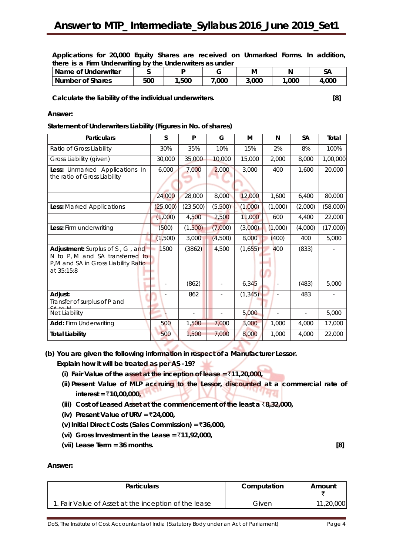**Applications for 20,000 Equity Shares are received on Unmarked Forms. In addition, there is a Firm Underwriting by the Underwriters as under**

| Name of Underwriter |     |      |      | м     |      | ЭA   |
|---------------------|-----|------|------|-------|------|------|
| Number of Shares    | 500 | .500 | ,000 | 3,000 | ,000 | .000 |

**Calculate the liability of the individual underwriters. [8]**

### **Answer:**

### **Statement of Underwriters Liability (Figures in No. of shares)**

| <b>Particulars</b>                                                     | S        | P        | G       | м        | N                        | <b>SA</b> | Total    |
|------------------------------------------------------------------------|----------|----------|---------|----------|--------------------------|-----------|----------|
| Ratio of Gross Liability                                               | 30%      | 35%      | 10%     | 15%      | 2%                       | 8%        | 100%     |
| Gross Liability (given)                                                | 30,000   | 35,000   | 10,000  | 15,000   | 2,000                    | 8,000     | 1,00,000 |
| Less: Unmarked Applications In                                         | 6,000    | 7,000    | 2,000   | 3,000    | 400                      | 1,600     | 20,000   |
| the ratio of Gross Liability                                           |          |          |         |          |                          |           |          |
|                                                                        | 24,000   | 28,000   | 8,000   | 12,000   | 1.600                    | 6,400     | 80,000   |
| Less: Marked Applications                                              | (25,000) | (23,500) | (5,500) | (1,000)  | (1,000)                  | (2,000)   | (58,000) |
|                                                                        | (1,000)  | 4,500    | 2,500   | 11,000   | 600                      | 4,400     | 22,000   |
| Less: Firm underwriting                                                | (500)    | (1,500)  | (7,000) | (3,000)  | (1,000)                  | (4,000)   | (17,000) |
|                                                                        | (1,500)  | 3,000    | (4,500) | 8,000    | (400)                    | 400       | 5,000    |
| Adjustment: Surplus of S, G, and                                       | 1500     | (3862)   | 4,500   | (1,655)  | 400                      | (833)     |          |
| N to P, M and SA transferred to<br>P,M and SA in Gross Liability Ratio |          |          |         |          |                          |           |          |
| at 35:15:8                                                             |          |          |         |          |                          |           |          |
|                                                                        |          | (862)    | $\sim$  | 6,345    | ÷,                       | (483)     | 5,000    |
| Adjust:<br>Transfer of surplus of P and                                |          | 862      |         | (1, 345) |                          | 483       |          |
| Net Liability                                                          |          |          |         | 5,000    | $\overline{\phantom{a}}$ |           | 5,000    |
| <b>Add: Firm Underwriting</b>                                          | 500      | 1,500    | 7,000   | 3,000    | 1,000                    | 4,000     | 17,000   |
| <b>Total Liability</b>                                                 | 500      | 1,500    | 7,000   | 8,000    | 1,000                    | 4,000     | 22,000   |

**(b) You are given the following information in respect of a Manufacturer Lessor.** 

**Explain how it will be treated as per AS -19?** 

- **(i) Fair Value of the asset at the inception of lease =** `**11,20,000,**
- **(ii) Present Value of MLP accruing to the Lessor, discounted at a commercial rate of interest =**  $\bar{x}$ **10,00,000,**  $\blacksquare$
- **(iii) Cost of Leased Asset at the commencement of the least a** `**8,32,000,**
- **(iv) Present Value of URV =** `**24,000,**
- **(v)Initial Direct Costs (Sales Commission) =** `**36,000,**
- **(vi) Gross Investment in the Lease =** `**11,92,000,**
- **(vii) Lease Term = 36 months. [8]**

**Answer:**

| <b>Particulars</b>                                  | Computation | Amount    |
|-----------------------------------------------------|-------------|-----------|
| . Fair Value of Asset at the inception of the lease | Given       | 11,20,000 |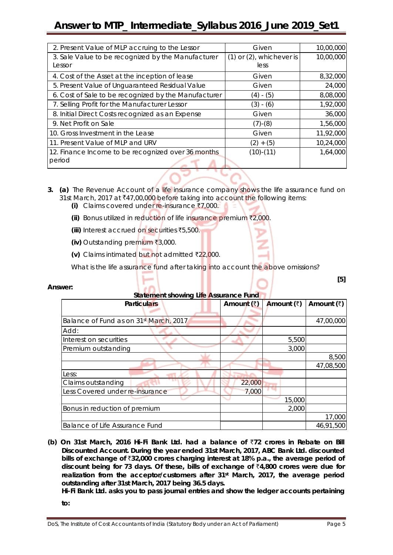## **Answer to MTP\_ Intermediate\_Syllabus 2016\_June 2019\_Set1**

| 2. Present Value of MLP accruing to the Lessor       | Given                         | 10,00,000 |
|------------------------------------------------------|-------------------------------|-----------|
| 3. Sale Value to be recognized by the Manufacturer   | $(1)$ or $(2)$ , whichever is | 10,00,000 |
| Lessor                                               | less                          |           |
| 4. Cost of the Asset at the inception of lease       | Given                         | 8,32,000  |
| 5. Present Value of Unguaranteed Residual Value      | Given                         | 24,000    |
| 6. Cost of Sale to be recognized by the Manufacturer | (4) - (5)                     | 8,08,000  |
| 7. Selling Profit for the Manufacturer Lessor        | $(3) - (6)$                   | 1,92,000  |
| 8. Initial Direct Costs recognized as an Expense     | Given                         | 36,000    |
| 9. Net Profit on Sale                                | $(7)$ - $(8)$                 | 1,56,000  |
| 10. Gross Investment in the Lease                    | Given                         | 11,92,000 |
| 11. Present Value of MLP and URV                     | $(2) + (5)$                   | 10,24,000 |
| 12. Finance Income to be recognized over 36 months   | $(10)-(11)$                   | 1,64,000  |
| period                                               |                               |           |

- **3. (a)** The Revenue Account of a life insurance company shows the life assurance fund on 31st March, 2017 at ₹47,00,000 before taking into account the following items:
	- **(i)** Claims covered under re-insurance ₹7,000.
	- **(ii)** Bonus utilized in reduction of life insurance premium ₹2,000.
	- **(iii)** Interest accrued on securities `5,500.
	- **(iv)** Outstanding premium ₹3,000.
	- $(v)$  Claims intimated but not admitted  $\bar{\tau}$ 22,000.

What is the life assurance fund after taking into account the above omissions?

| Answer:                                |              |            |            |
|----------------------------------------|--------------|------------|------------|
| Statement showing Life Assurance Fund  |              |            |            |
| <b>Particulars</b>                     | Amount $(3)$ | Amount (₹) | Amount (₹) |
|                                        |              |            |            |
| Balance of Fund as on 31st March, 2017 |              |            | 47,00,000  |
| Add:                                   |              |            |            |
| Interest on securities                 |              | 5,500      |            |
| Premium outstanding                    |              | 3,000      |            |
|                                        |              |            | 8,500      |
|                                        |              |            | 47,08,500  |
| Less:                                  |              |            |            |
| Claims outstanding                     | 22,000       |            |            |
| Less Covered under re-insurance        | 7,000        |            |            |
|                                        |              | 15,000     |            |
| Bonus in reduction of premium          |              | 2,000      |            |
|                                        |              |            | 17,000     |
| <b>Balance of Life Assurance Fund</b>  |              |            | 46,91,500  |

### **(b) On 31st March, 2016 Hi-Fi Bank Ltd. had a balance of** `**72 crores in Rebate on Bill Discounted Account. During the year ended 31st March, 2017, ABC Bank Ltd. discounted bills of exchange of** `**32,000 crores charging interest at 18% p.a., the average period of discount being for 73 days. Of these, bills of exchange of** `**4,800 crores were due for realization from the acceptor/customers after 31st March, 2017, the average period outstanding after 31st March, 2017 being 36.5 days.**

**Hi-Fi Bank Ltd. asks you to pass journal entries and show the ledger accounts pertaining** 

**to:**

**[5]**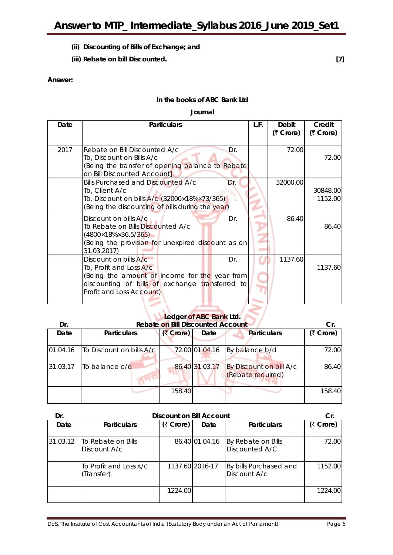- **(ii) Discounting of Bills of Exchange; and**
- **(iii) Rebate on bill Discounted. [7]**

### **Answer:**

### **In the books of ABC Bank Ltd**

### **Journal**

| Date | <b>Particulars</b>                                                                                                                                                                      | L.F. | Debit<br>(₹ Crore) | Credit<br>(₹ Crore) |
|------|-----------------------------------------------------------------------------------------------------------------------------------------------------------------------------------------|------|--------------------|---------------------|
| 2017 | Rebate on Bill Discounted A/c<br>Dr.<br>To, Discount on Bills A/c<br>(Being the transfer of opening balance to Rebate<br>on Bill Discounted Account]                                    |      | 72.00              | 72.00               |
|      | Bills Purchased and Discounted A/c<br>Dr.<br>To, Client A/c<br>To. Discount on bills A/c (32000×18%×73/365)<br>(Being the discounting of bills during the year)                         |      | 32000.00           | 30848.00<br>1152.00 |
|      | Dr.<br>Discount on bills A/c<br>To Rebate on Bills Discounted A/c<br>$(4800\times18\% \times 36.5/365)$<br>(Being the provision for unexpired discount as on<br>31.03.2017)             |      | 86.40              | 86.40               |
|      | Discount on bills A/c<br>Dr.<br>To, Profit and Loss A/c<br>(Being the amount of income for the year from<br>discounting of bills of exchange transferred to<br>Profit and Loss Account) |      | 1137.60            | 1137.60             |

# **Ledger of ABC Bank Ltd.**

| Dr.      | <b>Rebate on Bill Discounted Account</b> |           |                |                                              |           |
|----------|------------------------------------------|-----------|----------------|----------------------------------------------|-----------|
| Date     | <b>Particulars</b>                       | (₹ Crore) | Date           | <b>Particulars</b>                           | (₹ Crore) |
| 01.04.16 | <b>ITo Discount on bills A/c</b>         |           | 72.00 01.04.16 | By balance b/d                               | 72.00     |
| 31.03.17 | To balance c/d                           |           | 86.40 31.03.17 | By Discount on bill A/c<br>(Rebate required) | 86.40     |
|          |                                          | 158.40    |                |                                              | 158.40    |

| Dr.      | <b>Discount on Bill Account</b>      |           |                 |                                        |           |  |  |
|----------|--------------------------------------|-----------|-----------------|----------------------------------------|-----------|--|--|
| Date     | <b>Particulars</b>                   | (₹ Crore) | Date            | <b>Particulars</b>                     | (₹ Crore) |  |  |
| 31.03.12 | To Rebate on Bills<br>Discount A/c   |           | 86.40 01.04.16  | By Rebate on Bills<br>Discounted A/C   | 72.00     |  |  |
|          | To Profit and Loss A/C<br>(Transfer) |           | 1137.60 2016-17 | By bills Purchased and<br>Discount A/c | 1152.00   |  |  |
|          |                                      | 1224.00   |                 |                                        | 1224.00   |  |  |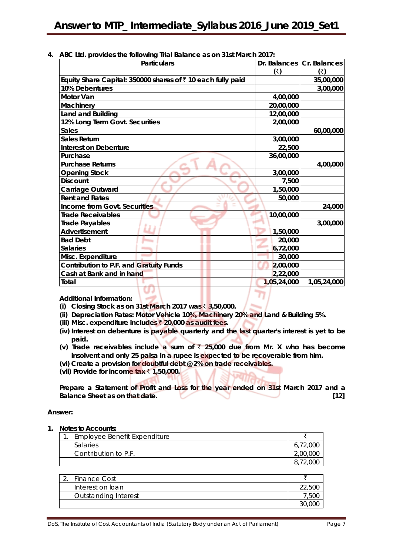|  |  | 4. ABC Ltd. provides the following Trial Balance as on 31st March 2017: |  |  |  |
|--|--|-------------------------------------------------------------------------|--|--|--|
|--|--|-------------------------------------------------------------------------|--|--|--|

| <b>Particulars</b>                                                  |                      | Dr. Balances   Cr. Balances |
|---------------------------------------------------------------------|----------------------|-----------------------------|
|                                                                     | $(\overline{\zeta})$ | (₹)                         |
| Equity Share Capital: 350000 shares of $\bar{z}$ 10 each fully paid |                      | 35,00,000                   |
| 10% Debentures                                                      |                      | 3,00,000                    |
| <b>Motor Van</b>                                                    | 4,00,000             |                             |
| Machinery                                                           | 20,00,000            |                             |
| Land and Building                                                   | 12,00,000            |                             |
| 12% Long Term Govt. Securities                                      | 2,00,000             |                             |
| <b>Sales</b>                                                        |                      | 60,00,000                   |
| <b>Sales Return</b>                                                 | 3,00,000             |                             |
| <b>Interest on Debenture</b>                                        | 22,500               |                             |
| Purchase                                                            | 36,00,000            |                             |
| <b>Purchase Returns</b>                                             |                      | 4,00,000                    |
| <b>Opening Stock</b>                                                | 3,00,000             |                             |
| <b>Discount</b>                                                     | 7,500                |                             |
| Carriage Outward                                                    | 1,50,000             |                             |
| <b>Rent and Rates</b>                                               | 50,000               |                             |
| <b>Income from Govt. Securities</b>                                 |                      | 24,000                      |
| <b>Trade Receivables</b>                                            | 10,00,000            |                             |
| <b>Trade Payables</b>                                               |                      | 3,00,000                    |
| Advertisement                                                       | 1,50,000             |                             |
| <b>Bad Debt</b>                                                     | 20,000               |                             |
| <b>Salaries</b>                                                     | 6,72,000             |                             |
| Misc. Expenditure                                                   | 30,000               |                             |
| Contribution to P.F. and Gratuity Funds                             | 2,00,000             |                             |
| Cash at Bank and in hand                                            | 2,22,000             |                             |
| Total                                                               | 1,05,24,000          | 1,05,24,000                 |

**Additional Information:**

- **(i) Closing Stock as on 31st March 2017 was** ` **3,50,000.**
- **(ii) Depreciation Rates: Motor Vehicle 10%, Machinery 20% and Land & Building 5%.**
- **(iii) Misc. expenditure includes** ` **20,000 as audit fees.**
- **(iv) Interest on debenture is payable quarterly and the last quarter's interest is yet to be paid.**
- **(v) Trade receivables include a sum of** ` **25,000 due from Mr. X who has become insolvent and only 25 paisa in a rupee is expected to be recoverable from him.**
- **(vi) Create a provision for doubtful debt @ 2% on trade receivables.**
- **(vii) Provide for income tax** ` **1,50,000.**

**Prepare a Statement of Profit and Loss for the year ended on 31st March 2017 and a Balance Sheet as on that date.** [12]

### **Answer:**

**1. Notes to Accounts:**

| 1. Employee Benefit Expenditure |          |
|---------------------------------|----------|
| <b>Salaries</b>                 | 6,72,000 |
| Contribution to P.F.            | 2,00,000 |
|                                 | 8,72,000 |
|                                 |          |
| 2. Finance Cost                 |          |
| Interest on loan                | 22,500   |
| <b>Outstanding Interest</b>     | 7,500    |
|                                 |          |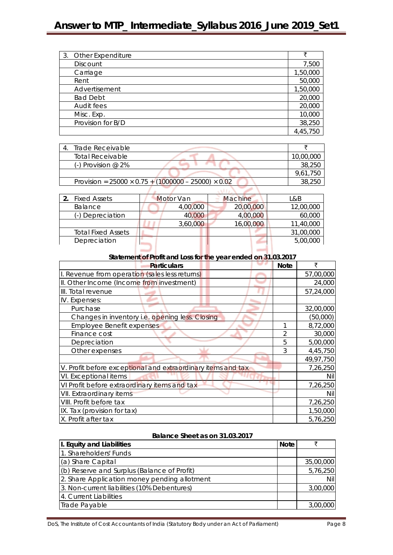| 3. Other Expenditure | ₹        |
|----------------------|----------|
| <b>Discount</b>      | 7,500    |
| Carriage             | 1,50,000 |
| Rent                 | 50,000   |
| Advertisement        | 1,50,000 |
| <b>Bad Debt</b>      | 20,000   |
| Audit fees           | 20,000   |
| Misc. Exp.           | 10,000   |
| Provision for B/D    | 38,250   |
|                      | 4,45,750 |

| Trade Receivable                                                |           |
|-----------------------------------------------------------------|-----------|
| <b>Total Receivable</b>                                         | 10,00,000 |
| (-) Provision @ 2%                                              | 38,250    |
|                                                                 | 9.61.750  |
| Provision = $25000 \times 0.75 + (1000000 - 25000) \times 0.02$ | 38.250    |
|                                                                 |           |

| <b>Fixed Assets</b>       | Motor Van |          | <b>Machine</b> |           | L&B       |
|---------------------------|-----------|----------|----------------|-----------|-----------|
| Balance                   |           | 4,00,000 |                | 20,00,000 | 12,00,000 |
| (-) Depreciation          |           | 40,000   |                | 4,00,000  | 60,000    |
|                           |           | 3,60,000 |                | 16,00,000 | 11,40,000 |
| <b>Total Fixed Assets</b> |           |          |                |           | 31,00,000 |
| Depreciation              |           |          |                |           | 5,00,000  |
|                           |           |          |                |           |           |

| Statement of Profit and Loss for the year ended on 31.03.2017 |             |           |  |
|---------------------------------------------------------------|-------------|-----------|--|
| <b>Particulars</b>                                            | <b>Note</b> | ₹         |  |
| I. Revenue from operation (sales less returns)                |             | 57,00,000 |  |
| II. Other Income (Income from investment)                     |             | 24,000    |  |
| III. Total revenue                                            |             | 57,24,000 |  |
| IV. Expenses:                                                 |             |           |  |
| Purchase                                                      |             | 32,00,000 |  |
| Changes in inventory i.e. opening less. Closing               |             | (50,000)  |  |
| <b>Employee Benefit expenses</b>                              |             | 8,72,000  |  |
| Finance cost                                                  |             | 30,000    |  |
| Depreciation                                                  | 5           | 5,00,000  |  |
| Other expenses                                                | 3           | 4,45,750  |  |
|                                                               |             | 49,97,750 |  |
| V. Profit before exceptional and extraordinary items and tax  |             | 7,26,250  |  |
| VI. Exceptional items                                         |             | Nil       |  |
| VI Profit before extraordinary items and tax                  |             | 7,26,250  |  |
| VII. Extraordinary items                                      |             | Nil       |  |
| VIII. Profit before tax                                       |             | 7,26,250  |  |
| IX. Tax (provision for tax)                                   |             | 1,50,000  |  |
| X. Profit after tax                                           |             | 5,76,250  |  |

### **Balance Sheet as on 31.03.2017**

| I. Equity and Liabilities                    | <b>Note</b> |           |
|----------------------------------------------|-------------|-----------|
| 1. Shareholders' Funds                       |             |           |
| (a) Share Capital                            |             | 35,00,000 |
| (b) Reserve and Surplus (Balance of Profit)  |             | 5,76,250  |
| 2. Share Application money pending allotment |             | Nil       |
| 3. Non-current liabilities (10% Debentures)  |             | 3,00,000  |
| 4. Current Liabilities                       |             |           |
| Trade Payable                                |             | 3,00,000  |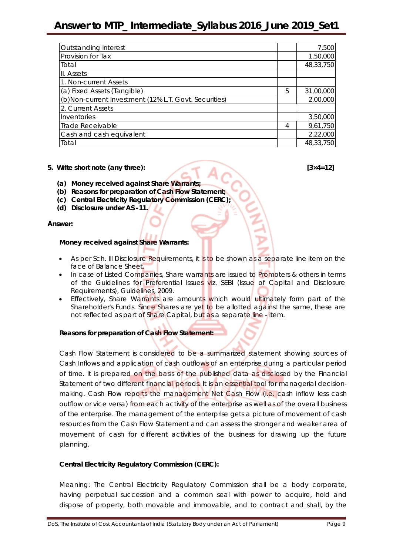### **Answer to MTP\_ Intermediate\_Syllabus 2016\_June 2019\_Set1**

| Outstanding interest                                   |   | 7,500     |
|--------------------------------------------------------|---|-----------|
| Provision for Tax                                      |   | 1,50,000  |
| Total                                                  |   | 48,33,750 |
| II. Assets                                             |   |           |
| 1. Non-current Assets                                  |   |           |
| (a) Fixed Assets (Tangible)                            | 5 | 31,00,000 |
| (b) Non-current Investment (12% L.T. Govt. Securities) |   | 2,00,000  |
| 2. Current Assets                                      |   |           |
| Inventories                                            |   | 3,50,000  |
| Trade Receivable                                       | 4 | 9,61,750  |
| Cash and cash equivalent                               |   | 2,22,000  |
| Total                                                  |   | 48,33,750 |

### **5. Write short note (any three): [3×4=12]**

- **(a) Money received against Share Warrants;**
- **(b) Reasons for preparation of Cash Flow Statement;**
- **(c) Central Electricity Regulatory Commission (CERC);**
- **(d) Disclosure under AS -11.**

### **Answer:**

### **Money received against Share Warrants:**

- As per Sch. Ill Disclosure Requirements, it is to be shown as a separate line item on the face of Balance Sheet.
- In case of Listed Companies, Share warrants are issued to Promoters & others in terms of the Guidelines for Preferential Issues viz. SEBI (Issue of Capital and Disclosure Requirements), Guidelines, 2009.
- Effectively, Share Warrants are amounts which would ultimately form part of the Shareholder's Funds. Since Shares are yet to be allotted against the same, these are not reflected as part of Share Capital, but as a separate line - item.

### **Reasons for preparation of Cash Flow Statement:**

Cash Flow Statement is considered to be a summarized statement showing sources of Cash Inflows and application of cash outflows of an enterprise during a particular period of time. It is prepared on the basis of the published data as disclosed by the Financial Statement of two different financial periods. It is an essential tool for managerial decisionmaking. Cash Flow reports the management Net Cash Flow (i.e. cash inflow less cash outflow or vice versa) from each activity of the enterprise as well as of the overall business of the enterprise. The management of the enterprise gets a picture of movement of cash resources from the Cash Flow Statement and can assess the stronger and weaker area of movement of cash for different activities of the business for drawing up the future planning.

### **Central Electricity Regulatory Commission (CERC):**

Meaning: The Central Electricity Regulatory Commission shall be a body corporate, having perpetual succession and a common seal with power to acquire, hold and dispose of property, both movable and immovable, and to contract and shall, by the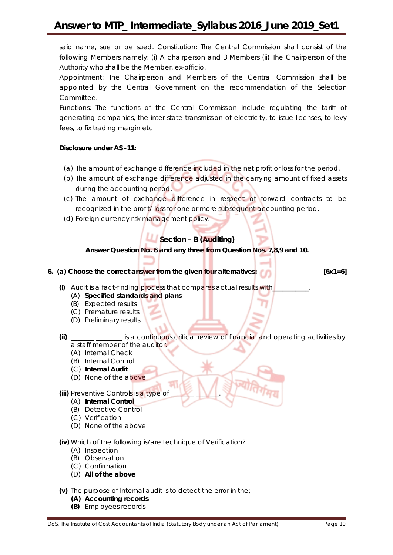said name, sue or be sued. Constitution: The Central Commission shall consist of the following Members namely: (i) A chairperson and 3 Members (ii) The Chairperson of the Authority who shall be the Member, ex-officio.

Appointment: The Chairperson and Members of the Central Commission shall be appointed by the Central Government on the recommendation of the Selection Committee.

Functions: The functions of the Central Commission include regulating the tariff of generating companies, the inter-state transmission of electricity, to issue licenses, to levy fees, to fix trading margin etc.

### **Disclosure under AS -11:**

- (a) The amount of exchange difference included in the net profit or loss for the period.
- (b) The amount of exchange difference adjusted in the carrying amount of fixed assets during the accounting period.
- (c) The amount of exchange difference in respect of forward contracts to be recognized in the profit/ loss for one or more subsequent accounting period.
- (d) Foreign currency risk management policy.

### **Section – B (Auditing)**

**Answer Question No. 6 and any three from Question Nos. 7,8,9 and 10.**

**6. (a) Choose the correct answer from the given four alternatives: [6x1=6]**

- (i) Audit is a fact-finding process that compares actual results with
	- (A) **Specified standards and plans**
	- (B) Expected results
	- (C) Premature results
	- (D) Preliminary results
- **(ii)** \_\_\_\_\_\_\_ \_\_\_\_\_\_\_\_ is a continuous critical review of financial and operating activities by a staff member of the auditor.
	- (A) Internal Check
	- (B) Internal Control
	- (C) **Internal Audit**
	- (D) None of the above
- **(iii)** Preventive Controls is a type of
	- (A) **Internal Control**
	- (B) Detective Control
	- (C) Verification
	- (D) None of the above

**(iv)** Which of the following is/are technique of Verification?

- (A) Inspection
- (B) Observation
- (C) Confirmation
- (D) **All of the above**
- **(v)** The purpose of Internal audit is to detect the error in the;
	- **(A) Accounting records**
	- **(B)** Employees records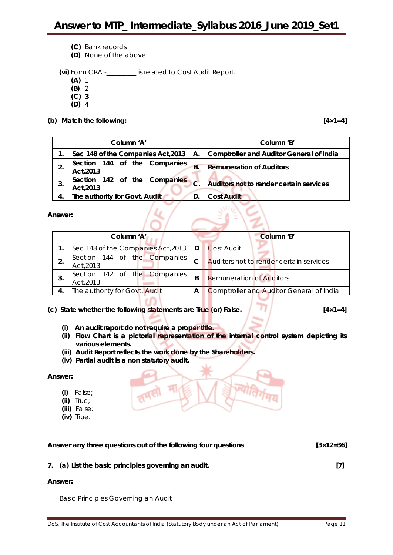- **(C)** Bank records
- **(D)** None of the above

**(vi)** Form CRA -\_\_\_\_\_\_\_\_\_ is related to Cost Audit Report.

- **(A)** 1
- **(B)** 2
- **(C) 3**
- **(D)** 4

### **(b) Match the following: [4×1=4]**

| Column 'A'                                |                     | Column 'B'                               |
|-------------------------------------------|---------------------|------------------------------------------|
| Sec 148 of the Companies Act, 2013        | А.                  | Comptroller and Auditor General of India |
| Section 144 of the Companies<br>Act, 2013 | <b>B.</b>           | <b>Remuneration of Auditors</b>          |
| Section 142 of the Companies<br>Act, 2013 | $\sqrt{\mathbf{C}}$ | Auditors not to render certain services  |
| The authority for Govt. Audit             |                     | <b>Cost Audit</b>                        |

 $\frac{1}{2}$ 

### **Answer:**

| Column 'A'                                |          | Column 'B'                               |
|-------------------------------------------|----------|------------------------------------------|
| Sec 148 of the Companies Act, 2013        | <b>D</b> | Cost Audit                               |
| Section 144 of the Companies<br>Act, 2013 | C        | Auditors not to render certain services  |
| Section 142 of the Companies<br>Act, 2013 | B        | <b>Remuneration of Auditors</b>          |
| The authority for Govt. Audit             | А        | Comptroller and Auditor General of India |

### **(c) State whether the following statements are True (or) False. [4×1=4]**

- **(i) An audit report do not require a proper title.**
- **(ii) Flow Chart is a pictorial representation of the internal control system depicting its various elements.**
- **(iii) Audit Report reflects the work done by the Shareholders.**
- **(iv) Partial audit is a non statutory audit.**

### **Answer:**

- **(i)** False;
- **(ii)** True;
- **(iii)** False:
- **(iv)** True.

| Answer any three questions out of the following four questions | $[3 \times 12 = 36]$ |
|----------------------------------------------------------------|----------------------|
| 7. (a) List the basic principles governing an audit.           |                      |
| <b>A</b>                                                       |                      |

### **Answer:**

Basic Principles Governing an Audit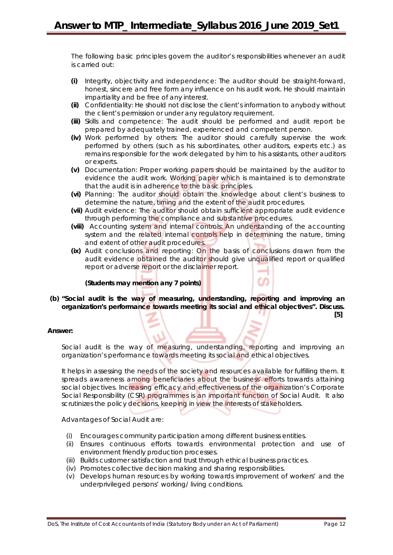The following basic principles govern the auditor's responsibilities whenever an audit is carried out:

- **(i)** Integrity, objectivity and independence: The auditor should be straight-forward, honest, sincere and free form any influence on his audit work. He should maintain impartiality and be free of any interest.
- **(ii)** Confidentiality: He should not disclose the client's information to anybody without the client's permission or under any regulatory requirement.
- **(iii)** Skills and competence: The audit should be performed and audit report be prepared by adequately trained, experienced and competent person.
- **(iv)** Work performed by others: The auditor should carefully supervise the work performed by others (such as his subordinates, other auditors, experts etc.) as remains responsible for the work delegated by him to his assistants, other auditors or experts.
- **(v)** Documentation: Proper working papers should be maintained by the auditor to evidence the audit work. Working paper which is maintained is to demonstrate that the audit is in adherence to the basic principles.
- **(vi)** Planning: The auditor should obtain the knowledge about client's business to determine the nature, timing and the extent of the audit procedures.
- **(vii)** Audit evidence: The auditor should obtain sufficient appropriate audit evidence through performing the compliance and substantive procedures.
- **(viii)** Accounting system and internal controls: An understanding of the accounting system and the related internal controls help in determining the nature, timing and extent of other audit procedures.
- **(ix)** Audit conclusions and reporting: On the basis of conclusions drawn from the audit evidence obtained the auditor should give unqualified report or qualified report or adverse report or the disclaimer report.

### **(Students may mention any 7 points)**

**(b) "Social audit is the way of measuring, understanding, reporting and improving an organization's performance towards meeting its social and ethical objectives". Discuss.**

### **Answer:**

Social audit is the way of measuring, understanding, reporting and improving an organization's performance towards meeting its social and ethical objectives.

It helps in assessing the needs of the society and resources available for fulfilling them. It spreads awareness among beneficiaries about the business' efforts towards attaining social objectives. Increasing efficacy and effectiveness of the organization's Corporate Social Responsibility (CSR) programmes is an important function of Social Audit. It also scrutinizes the policy decisions, keeping in view the interests of stakeholders.

Advantages of Social Audit are:

- (i) Encourages community participation among different business entities.
- (ii) Ensures continuous efforts towards environmental protection and use of environment friendly production processes.
- (iii) Builds customer satisfaction and trust through ethical business practices.
- (iv) Promotes collective decision making and sharing responsibilities.
- (v) Develops human resources by working towards improvement of workers' and the underprivileged persons' working/ living conditions.

**[5]**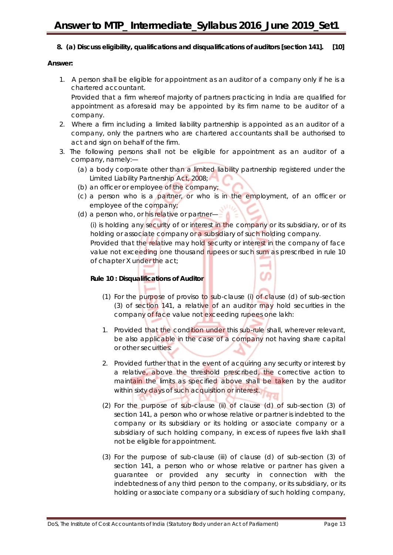### **8. (a) Discuss eligibility, qualifications and disqualifications of auditors [section 141]. [10]**

### **Answer:**

1. A person shall be eligible for appointment as an auditor of a company only if he is a chartered accountant.

Provided that a firm whereof majority of partners practicing in India are qualified for appointment as aforesaid may be appointed by its firm name to be auditor of a company.

- 2. Where a firm including a limited liability partnership is appointed as an auditor of a company, only the partners who are chartered accountants shall be authorised to act and sign on behalf of the firm.
- 3. The following persons shall not be eligible for appointment as an auditor of a company, namely:—
	- (a) a body corporate other than a limited liability partnership registered under the Limited Liability Partnership Act, 2008;
	- (b) an officer or employee of the company;
	- (c) a person who is a partner, or who is in the employment, of an officer or employee of the company;
	- (d) a person who, or his relative or partner—

(i) is holding any security of or interest in the company or its subsidiary, or of its holding or associate company or a subsidiary of such holding company.

Provided that the relative may hold security or interest in the company of face value not exceeding one thousand rupees or such sum as prescribed in rule 10 of chapter X under the act;

### **Rule 10 : Disqualifications of Auditor**

- (1) For the purpose of proviso to sub-clause (i) of clause (d) of sub-section (3) of section 141, a relative of an auditor may hold securities in the company of face value not exceeding rupees one lakh:
- 1. Provided that the condition under this sub-rule shall, wherever relevant, be also applicable in the case of a company not having share capital or other securities:
- 2. Provided further that in the event of acquiring any security or interest by a relative, above the threshold prescribed, the corrective action to maintain the limits as specified above shall be taken by the auditor within sixty days of such acquisition or interest.
- (2) For the purpose of sub-clause (ii) of clause (d) of sub-section (3) of section 141, a person who or whose relative or partner is indebted to the company or its subsidiary or its holding or associate company or a subsidiary of such holding company, in excess of rupees five lakh shall not be eligible for appointment.
- (3) For the purpose of sub-clause (iii) of clause (d) of sub-section (3) of section 141, a person who or whose relative or partner has given a guarantee or provided any security in connection with the indebtedness of any third person to the company, or its subsidiary, or its holding or associate company or a subsidiary of such holding company,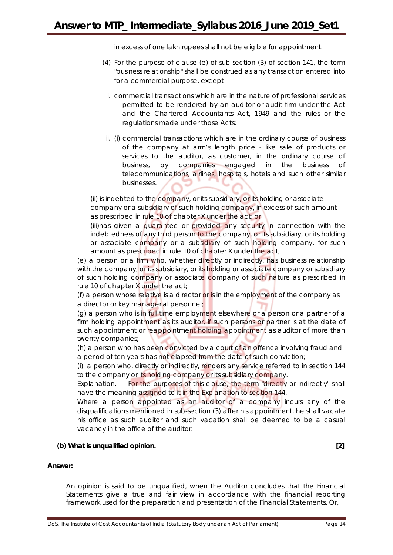in excess of one lakh rupees shall not be eligible for appointment.

- (4) For the purpose of clause (e) of sub-section (3) of section 141, the term "business relationship" shall be construed as any transaction entered into for a commercial purpose, except
	- i. commercial transactions which are in the nature of professional services permitted to be rendered by an auditor or audit firm under the Act and the Chartered Accountants Act, 1949 and the rules or the regulations made under those Acts;
- ii. (i) commercial transactions which are in the ordinary course of business of the company at arm's length price - like sale of products or services to the auditor, as customer, in the ordinary course of business, by companies engaged in the business of telecommunications, airlines, hospitals, hotels and such other similar businesses.

(ii) is indebted to the company, or its subsidiary, or its holding or associate company or a subsidiary of such holding company, in excess of such amount as prescribed in rule 10 of chapter X under the act; or

(iii)has given a guarantee or provided any security in connection with the indebtedness of any third person to the company, or its subsidiary, or its holding or associate company or a subsidiary of such holding company, for such amount as prescribed in rule 10 of chapter X under the act;

(e) a person or a firm who, whether directly or indirectly, has business relationship with the company, or its subsidiary, or its holding or associate company or subsidiary of such holding company or associate company of such nature as prescribed in rule 10 of chapter X under the act;

(f) a person whose relative is a director or is in the employment of the company as a director or key managerial personnel;

(g) a person who is in full time employment elsewhere or a person or a partner of a firm holding appointment as its auditor, if such persons or partner is at the date of such appointment or reappointment holding appointment as auditor of more than twenty companies;

(h) a person who has been convicted by a court of an offence involving fraud and a period of ten years has not elapsed from the date of such conviction;

(i) a person who, directly or indirectly, renders any service referred to in section 144 to the company or its holding company or its subsidiary company.

Explanation. — For the purposes of this clause, the term "directly or indirectly" shall have the meaning assigned to it in the Explanation to section 144.

Where a person appointed as an auditor of a company incurs any of the disqualifications mentioned in sub-section (3) after his appointment, he shall vacate his office as such auditor and such vacation shall be deemed to be a casual vacancy in the office of the auditor.

### **(b) What is unqualified opinion. [2]**

#### **Answer:**

An opinion is said to be unqualified, when the Auditor concludes that the Financial Statements give a true and fair view in accordance with the financial reporting framework used for the preparation and presentation of the Financial Statements. Or,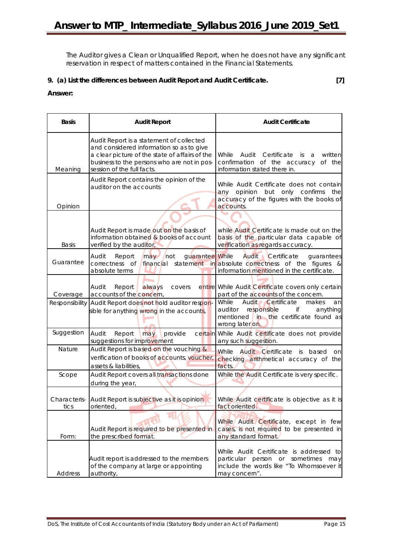The Auditor gives a Clean or Unqualified Report, when he does not have any significant reservation in respect of matters contained in the Financial Statements.

### **9. (a) List the differences between Audit Report and Audit Certificate. [7]**

### **Answer:**

| <b>Basis</b>         | <b>Audit Report</b>                                                                                                                                                                                                 | <b>Audit Certificate</b>                                                                                                                               |
|----------------------|---------------------------------------------------------------------------------------------------------------------------------------------------------------------------------------------------------------------|--------------------------------------------------------------------------------------------------------------------------------------------------------|
| Meaning              | Audit Report is a statement of collected<br>and considered information so as to give<br>a clear picture of the state of affairs of the<br>business to the persons who are not in pos-<br>session of the full facts. | While<br>Audit<br>Certificate<br>written<br>is<br>a<br>confirmation of the accuracy<br>of the<br>information stated there in.                          |
| Opinion              | Audit Report contains the opinion of the<br>auditor on the accounts                                                                                                                                                 | While Audit Certificate does not contain<br>opinion<br>but only confirms<br>any<br>the<br>accuracy of the figures with the books of<br>accounts.       |
| <b>Basis</b>         | Audit Report is made out on the basis of<br>information obtained & books of account<br>verified by the auditor,                                                                                                     | while Audit Certificate is made out on the<br>basis of the particular data capable of<br>verification as regards accuracy.                             |
| Guarantee            | guarantee While<br>Audit<br>Report<br>not<br>may<br>correctness of<br>absolute terms                                                                                                                                | <b>Audit</b> Certificate<br>guarantees<br>financial statement in absolute correctness of the figures &<br>information mentioned in the certificate.    |
| Coverage             | always<br>Audit<br>Report<br>covers<br>accounts of the concern,                                                                                                                                                     | entire While Audit Certificate covers only certain<br>part of the accounts of the concern.                                                             |
| Responsibility       | Audit Report does not hold auditor respon-<br>sible for anything wrong in the accounts,                                                                                                                             | Audit Certificate<br>While<br>makes<br>an<br>responsible<br>auditor<br>if<br>anything<br>mentioned in the certificate found as<br>wrong later on.      |
| Suggestion           | may<br>Audit<br>Report<br>provide<br>suggestions for improvement                                                                                                                                                    | certain While Audit certificate does not provide<br>any such suggestion.                                                                               |
| Nature               | Audit Report is based on the vouching &<br>verification of books of accounts, voucher,<br>assets & liabilities,                                                                                                     | Audit Certificate is<br>While<br>based<br>on<br>checking arithmetical accuracy of the<br>facts.                                                        |
| Scope                | Audit Report covers all transactions done<br>during the year,                                                                                                                                                       | While the Audit Certificate is very specific.                                                                                                          |
| Characteris-<br>tics | Audit Report is subjective as it is opinion<br>oriented,                                                                                                                                                            | While Audit certificate is objective as it is<br>fact oriented.                                                                                        |
| Form:                | Audit Report is required to be presented in<br>the prescribed format.                                                                                                                                               | While Audit Certificate, except in few<br>cases, is not required to be presented in<br>any standard format.                                            |
| Address              | Audit report is addressed to the members<br>of the company at large or appointing<br>authority,                                                                                                                     | While Audit Certificate is addressed to<br>particular<br>person<br>or<br>sometimes<br>may<br>include the words like "To Whomsoever it<br>may concern". |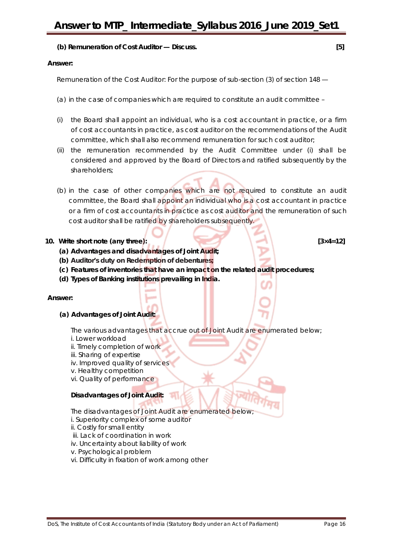### **(b) Remuneration of Cost Auditor — Discuss. [5]**

### **Answer:**

Remuneration of the Cost Auditor: For the purpose of sub-section (3) of section 148 —

- (a) in the case of companies which are required to constitute an audit committee –
- (i) the Board shall appoint an individual, who is a cost accountant in practice, or a firm of cost accountants in practice, as cost auditor on the recommendations of the Audit committee, which shall also recommend remuneration for such cost auditor;
- (ii) the remuneration recommended by the Audit Committee under (i) shall be considered and approved by the Board of Directors and ratified subsequently by the shareholders;
- (b) in the case of other companies which are not required to constitute an audit committee, the Board shall appoint an individual who is a cost accountant in practice or a firm of cost accountants in practice as cost auditor and the remuneration of such cost auditor shall be ratified by shareholders subsequently.

### **10. Write short note (any three): [3×4=12]**

- **(a) Advantages and disadvantages of Joint Audit;**
- **(b) Auditor's duty on Redemption of debentures;**
- **(c) Features of inventories that have an impact on the related audit procedures;**
- **(d) Types of Banking institutions prevailing in India.**

### **Answer:**

**(a) Advantages of Joint Audit:**

The various advantages that accrue out of Joint Audit are enumerated below;

- i. Lower workload
- ii. Timely completion of work
- iii. Sharing of expertise
- iv. Improved quality of services
- v. Healthy competition
- vi. Quality of performance

### **Disadvantages of Joint Audit:**

- The disadvantages of Joint Audit are enumerated below;
- i. Superiority complex of some auditor
- ii. Costly for small entity
- iii. Lack of coordination in work
- iv. Uncertainty about liability of work
- v. Psychological problem
- vi. Difficulty in fixation of work among other